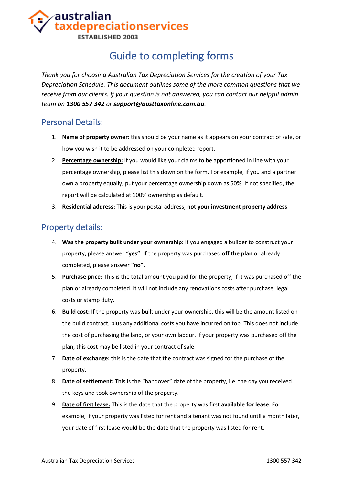### australian axdepreciationservices **ESTABLISHED 2003**

## Guide to completing forms

*Thank you for choosing Australian Tax Depreciation Services for the creation of your Tax Depreciation Schedule. This document outlines some of the more common questions that we receive from our clients. If your question is not answered, you can contact our helpful admin team on 1300 557 342 or support@austtaxonline.com.au.*

### Personal Details:

- 1. **Name of property owner:** this should be your name as it appears on your contract of sale, or how you wish it to be addressed on your completed report.
- 2. **Percentage ownership:** If you would like your claims to be apportioned in line with your percentage ownership, please list this down on the form. For example, if you and a partner own a property equally, put your percentage ownership down as 50%. If not specified, the report will be calculated at 100% ownership as default.
- 3. **Residential address:** This is your postal address, **not your investment property address**.

#### Property details:

- 4. **Was the property built under your ownership:** If you engaged a builder to construct your property, please answer "**yes"**. If the property was purchased **off the plan** or already completed, please answer **"no"**.
- 5. **Purchase price:** This is the total amount you paid for the property, if it was purchased off the plan or already completed. It will not include any renovations costs after purchase, legal costs or stamp duty.
- 6. **Build cost:** If the property was built under your ownership, this will be the amount listed on the build contract, plus any additional costs you have incurred on top. This does not include the cost of purchasing the land, or your own labour. If your property was purchased off the plan, this cost may be listed in your contract of sale.
- 7. **Date of exchange:** this is the date that the contract was signed for the purchase of the property.
- 8. **Date of settlement:** This is the "handover" date of the property, i.e. the day you received the keys and took ownership of the property.
- 9. **Date of first lease:** This is the date that the property was first **available for lease**. For example, if your property was listed for rent and a tenant was not found until a month later, your date of first lease would be the date that the property was listed for rent.